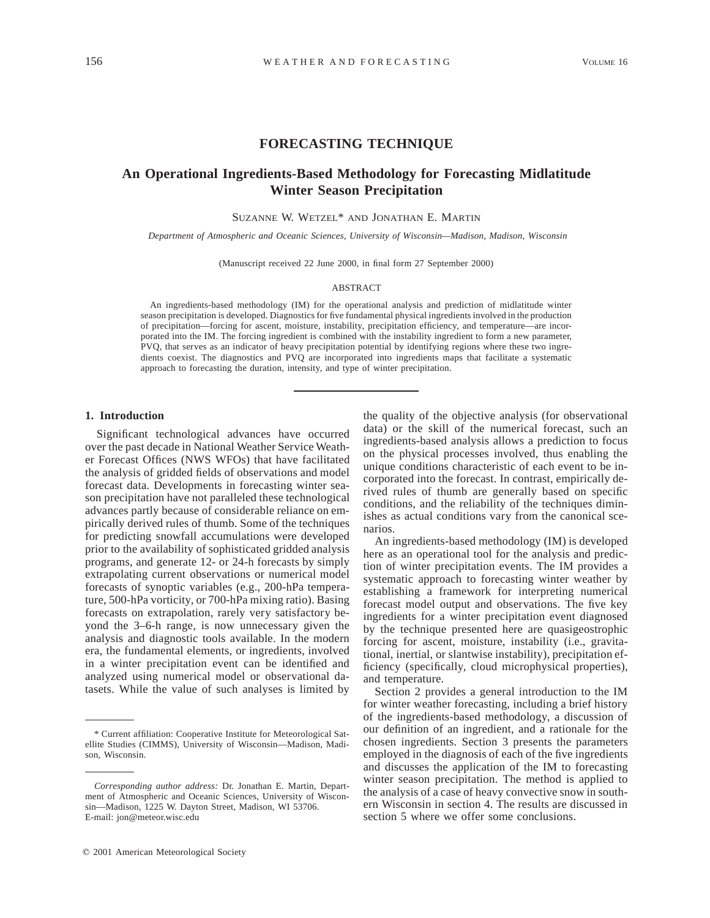## **FORECASTING TECHNIQUE**

# **An Operational Ingredients-Based Methodology for Forecasting Midlatitude Winter Season Precipitation**

SUZANNE W. WETZEL\* AND JONATHAN E. MARTIN

*Department of Atmospheric and Oceanic Sciences, University of Wisconsin—Madison, Madison, Wisconsin*

(Manuscript received 22 June 2000, in final form 27 September 2000)

#### ABSTRACT

An ingredients-based methodology (IM) for the operational analysis and prediction of midlatitude winter season precipitation is developed. Diagnostics for five fundamental physical ingredients involved in the production of precipitation—forcing for ascent, moisture, instability, precipitation efficiency, and temperature—are incorporated into the IM. The forcing ingredient is combined with the instability ingredient to form a new parameter, PVQ, that serves as an indicator of heavy precipitation potential by identifying regions where these two ingredients coexist. The diagnostics and PVQ are incorporated into ingredients maps that facilitate a systematic approach to forecasting the duration, intensity, and type of winter precipitation.

#### **1. Introduction**

Significant technological advances have occurred over the past decade in National Weather Service Weather Forecast Offices (NWS WFOs) that have facilitated the analysis of gridded fields of observations and model forecast data. Developments in forecasting winter season precipitation have not paralleled these technological advances partly because of considerable reliance on empirically derived rules of thumb. Some of the techniques for predicting snowfall accumulations were developed prior to the availability of sophisticated gridded analysis programs, and generate 12- or 24-h forecasts by simply extrapolating current observations or numerical model forecasts of synoptic variables (e.g., 200-hPa temperature, 500-hPa vorticity, or 700-hPa mixing ratio). Basing forecasts on extrapolation, rarely very satisfactory beyond the 3–6-h range, is now unnecessary given the analysis and diagnostic tools available. In the modern era, the fundamental elements, or ingredients, involved in a winter precipitation event can be identified and analyzed using numerical model or observational datasets. While the value of such analyses is limited by

the quality of the objective analysis (for observational data) or the skill of the numerical forecast, such an ingredients-based analysis allows a prediction to focus on the physical processes involved, thus enabling the unique conditions characteristic of each event to be incorporated into the forecast. In contrast, empirically derived rules of thumb are generally based on specific conditions, and the reliability of the techniques diminishes as actual conditions vary from the canonical scenarios.

An ingredients-based methodology (IM) is developed here as an operational tool for the analysis and prediction of winter precipitation events. The IM provides a systematic approach to forecasting winter weather by establishing a framework for interpreting numerical forecast model output and observations. The five key ingredients for a winter precipitation event diagnosed by the technique presented here are quasigeostrophic forcing for ascent, moisture, instability (i.e., gravitational, inertial, or slantwise instability), precipitation efficiency (specifically, cloud microphysical properties), and temperature.

Section 2 provides a general introduction to the IM for winter weather forecasting, including a brief history of the ingredients-based methodology, a discussion of our definition of an ingredient, and a rationale for the chosen ingredients. Section 3 presents the parameters employed in the diagnosis of each of the five ingredients and discusses the application of the IM to forecasting winter season precipitation. The method is applied to the analysis of a case of heavy convective snow in southern Wisconsin in section 4. The results are discussed in section 5 where we offer some conclusions.

<sup>\*</sup> Current affiliation: Cooperative Institute for Meteorological Satellite Studies (CIMMS), University of Wisconsin—Madison, Madison, Wisconsin.

*Corresponding author address:* Dr. Jonathan E. Martin, Department of Atmospheric and Oceanic Sciences, University of Wisconsin—Madison, 1225 W. Dayton Street, Madison, WI 53706. E-mail: jon@meteor.wisc.edu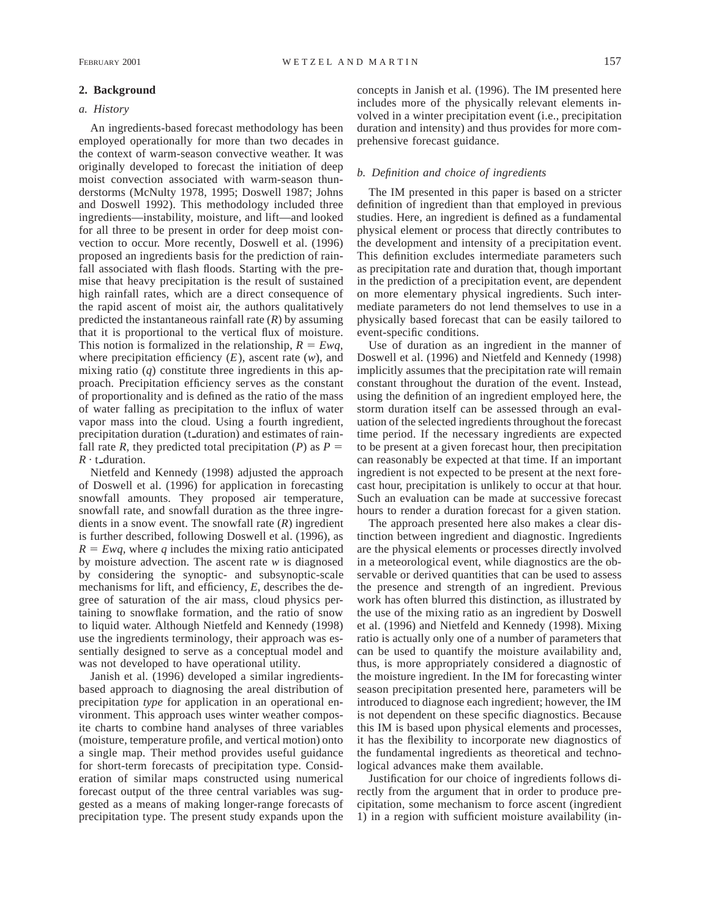### **2. Background**

### *a. History*

An ingredients-based forecast methodology has been employed operationally for more than two decades in the context of warm-season convective weather. It was originally developed to forecast the initiation of deep moist convection associated with warm-season thunderstorms (McNulty 1978, 1995; Doswell 1987; Johns and Doswell 1992). This methodology included three ingredients—instability, moisture, and lift—and looked for all three to be present in order for deep moist convection to occur. More recently, Doswell et al. (1996) proposed an ingredients basis for the prediction of rainfall associated with flash floods. Starting with the premise that heavy precipitation is the result of sustained high rainfall rates, which are a direct consequence of the rapid ascent of moist air, the authors qualitatively predicted the instantaneous rainfall rate (*R*) by assuming that it is proportional to the vertical flux of moisture. This notion is formalized in the relationship,  $R = E wq$ , where precipitation efficiency (*E*), ascent rate (*w*), and mixing ratio (*q*) constitute three ingredients in this approach. Precipitation efficiency serves as the constant of proportionality and is defined as the ratio of the mass of water falling as precipitation to the influx of water vapor mass into the cloud. Using a fourth ingredient, precipitation duration (t\_duration) and estimates of rainfall rate *R*, they predicted total precipitation (*P*) as  $P =$  $R \cdot t$ \_duration.

Nietfeld and Kennedy (1998) adjusted the approach of Doswell et al. (1996) for application in forecasting snowfall amounts. They proposed air temperature, snowfall rate, and snowfall duration as the three ingredients in a snow event. The snowfall rate (*R*) ingredient is further described, following Doswell et al. (1996), as  $R = Ewq$ , where *q* includes the mixing ratio anticipated by moisture advection. The ascent rate *w* is diagnosed by considering the synoptic- and subsynoptic-scale mechanisms for lift, and efficiency, *E,* describes the degree of saturation of the air mass, cloud physics pertaining to snowflake formation, and the ratio of snow to liquid water. Although Nietfeld and Kennedy (1998) use the ingredients terminology, their approach was essentially designed to serve as a conceptual model and was not developed to have operational utility.

Janish et al. (1996) developed a similar ingredientsbased approach to diagnosing the areal distribution of precipitation *type* for application in an operational environment. This approach uses winter weather composite charts to combine hand analyses of three variables (moisture, temperature profile, and vertical motion) onto a single map. Their method provides useful guidance for short-term forecasts of precipitation type. Consideration of similar maps constructed using numerical forecast output of the three central variables was suggested as a means of making longer-range forecasts of precipitation type. The present study expands upon the

concepts in Janish et al. (1996). The IM presented here includes more of the physically relevant elements involved in a winter precipitation event (i.e., precipitation duration and intensity) and thus provides for more comprehensive forecast guidance.

## *b. Definition and choice of ingredients*

The IM presented in this paper is based on a stricter definition of ingredient than that employed in previous studies. Here, an ingredient is defined as a fundamental physical element or process that directly contributes to the development and intensity of a precipitation event. This definition excludes intermediate parameters such as precipitation rate and duration that, though important in the prediction of a precipitation event, are dependent on more elementary physical ingredients. Such intermediate parameters do not lend themselves to use in a physically based forecast that can be easily tailored to event-specific conditions.

Use of duration as an ingredient in the manner of Doswell et al. (1996) and Nietfeld and Kennedy (1998) implicitly assumes that the precipitation rate will remain constant throughout the duration of the event. Instead, using the definition of an ingredient employed here, the storm duration itself can be assessed through an evaluation of the selected ingredients throughout the forecast time period. If the necessary ingredients are expected to be present at a given forecast hour, then precipitation can reasonably be expected at that time. If an important ingredient is not expected to be present at the next forecast hour, precipitation is unlikely to occur at that hour. Such an evaluation can be made at successive forecast hours to render a duration forecast for a given station.

The approach presented here also makes a clear distinction between ingredient and diagnostic. Ingredients are the physical elements or processes directly involved in a meteorological event, while diagnostics are the observable or derived quantities that can be used to assess the presence and strength of an ingredient. Previous work has often blurred this distinction, as illustrated by the use of the mixing ratio as an ingredient by Doswell et al. (1996) and Nietfeld and Kennedy (1998). Mixing ratio is actually only one of a number of parameters that can be used to quantify the moisture availability and, thus, is more appropriately considered a diagnostic of the moisture ingredient. In the IM for forecasting winter season precipitation presented here, parameters will be introduced to diagnose each ingredient; however, the IM is not dependent on these specific diagnostics. Because this IM is based upon physical elements and processes, it has the flexibility to incorporate new diagnostics of the fundamental ingredients as theoretical and technological advances make them available.

Justification for our choice of ingredients follows directly from the argument that in order to produce precipitation, some mechanism to force ascent (ingredient 1) in a region with sufficient moisture availability (in-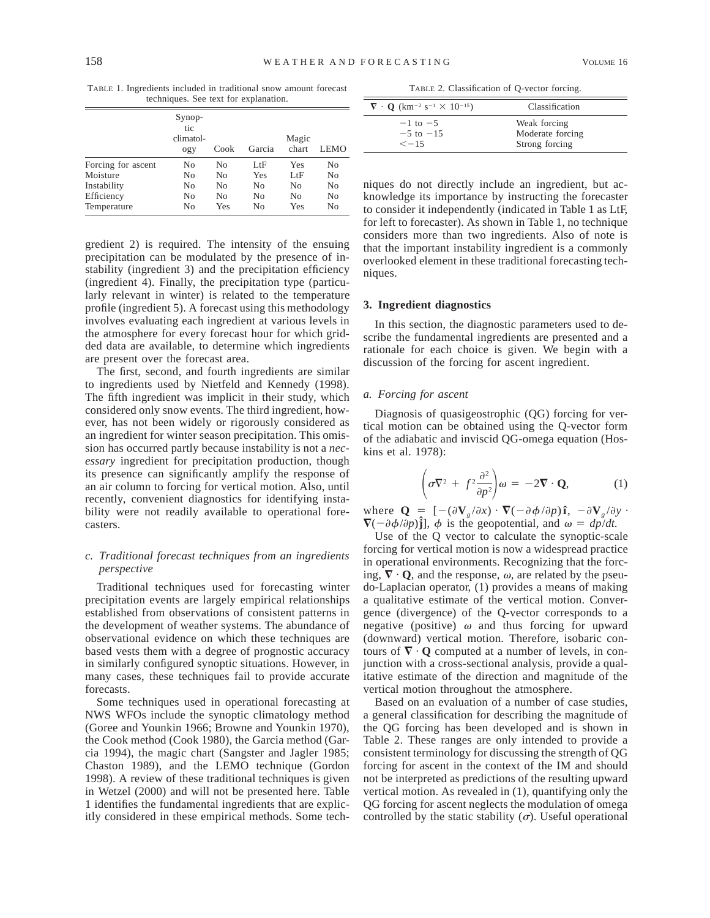TABLE 1. Ingredients included in traditional snow amount forecast techniques. See text for explanation.

|                    | Synop-<br>tic<br>climatol-<br>ogy | Cook           | Garcia | Magic<br>chart | <b>LEMO</b> |
|--------------------|-----------------------------------|----------------|--------|----------------|-------------|
| Forcing for ascent | No                                | No             | LtF    | Yes            | No          |
| Moisture           | No                                | N <sub>0</sub> | Yes    | LtF            | No          |
| Instability        | No                                | No             | No     | No             | No          |
| Efficiency         | No                                | N <sub>0</sub> | No     | No             | No          |
| Temperature        | No                                | Yes            | No     | Yes            | No          |

gredient 2) is required. The intensity of the ensuing precipitation can be modulated by the presence of instability (ingredient 3) and the precipitation efficiency (ingredient 4). Finally, the precipitation type (particularly relevant in winter) is related to the temperature profile (ingredient 5). A forecast using this methodology involves evaluating each ingredient at various levels in the atmosphere for every forecast hour for which gridded data are available, to determine which ingredients are present over the forecast area.

The first, second, and fourth ingredients are similar to ingredients used by Nietfeld and Kennedy (1998). The fifth ingredient was implicit in their study, which considered only snow events. The third ingredient, however, has not been widely or rigorously considered as an ingredient for winter season precipitation. This omission has occurred partly because instability is not a *necessary* ingredient for precipitation production, though its presence can significantly amplify the response of an air column to forcing for vertical motion. Also, until recently, convenient diagnostics for identifying instability were not readily available to operational forecasters.

### *c. Traditional forecast techniques from an ingredients perspective*

Traditional techniques used for forecasting winter precipitation events are largely empirical relationships established from observations of consistent patterns in the development of weather systems. The abundance of observational evidence on which these techniques are based vests them with a degree of prognostic accuracy in similarly configured synoptic situations. However, in many cases, these techniques fail to provide accurate forecasts.

Some techniques used in operational forecasting at NWS WFOs include the synoptic climatology method (Goree and Younkin 1966; Browne and Younkin 1970), the Cook method (Cook 1980), the Garcia method (Garcia 1994), the magic chart (Sangster and Jagler 1985; Chaston 1989), and the LEMO technique (Gordon 1998). A review of these traditional techniques is given in Wetzel (2000) and will not be presented here. Table 1 identifies the fundamental ingredients that are explicitly considered in these empirical methods. Some tech-

TABLE 2. Classification of Q-vector forcing.

| $\nabla \cdot \mathbf{Q}$ (km <sup>-2</sup> s <sup>-1</sup> $\times$ 10 <sup>-15</sup> ) | Classification   |
|------------------------------------------------------------------------------------------|------------------|
| $-1$ to $-5$                                                                             | Weak forcing     |
| $-5$ to $-15$                                                                            | Moderate forcing |
| $\le -15$                                                                                | Strong forcing   |

niques do not directly include an ingredient, but acknowledge its importance by instructing the forecaster to consider it independently (indicated in Table 1 as LtF, for left to forecaster). As shown in Table 1, no technique considers more than two ingredients. Also of note is that the important instability ingredient is a commonly overlooked element in these traditional forecasting techniques.

#### **3. Ingredient diagnostics**

In this section, the diagnostic parameters used to describe the fundamental ingredients are presented and a rationale for each choice is given. We begin with a discussion of the forcing for ascent ingredient.

## *a. Forcing for ascent*

Diagnosis of quasigeostrophic (QG) forcing for vertical motion can be obtained using the Q-vector form of the adiabatic and inviscid QG-omega equation (Hoskins et al. 1978):

$$
\left(\sigma \nabla^2 + f^2 \frac{\partial^2}{\partial p^2}\right) \omega = -2 \nabla \cdot \mathbf{Q},\tag{1}
$$

where  $Q = [-(\partial \mathbf{V}_g/\partial x) \cdot \nabla (-\partial \phi/\partial p) \hat{\mathbf{i}}, -\partial \mathbf{V}_g/\partial y \cdot \nabla$  $\nabla(-\partial \phi/\partial p)\hat{\mathbf{j}}$ ,  $\phi$  is the geopotential, and  $\omega = dp/dt$ .

Use of the Q vector to calculate the synoptic-scale forcing for vertical motion is now a widespread practice in operational environments. Recognizing that the forcing,  $\nabla \cdot \mathbf{Q}$ , and the response,  $\omega$ , are related by the pseudo-Laplacian operator, (1) provides a means of making a qualitative estimate of the vertical motion. Convergence (divergence) of the Q-vector corresponds to a negative (positive)  $\omega$  and thus forcing for upward (downward) vertical motion. Therefore, isobaric contours of  $\nabla \cdot \mathbf{Q}$  computed at a number of levels, in conjunction with a cross-sectional analysis, provide a qualitative estimate of the direction and magnitude of the vertical motion throughout the atmosphere.

Based on an evaluation of a number of case studies, a general classification for describing the magnitude of the QG forcing has been developed and is shown in Table 2. These ranges are only intended to provide a consistent terminology for discussing the strength of QG forcing for ascent in the context of the IM and should not be interpreted as predictions of the resulting upward vertical motion. As revealed in (1), quantifying only the QG forcing for ascent neglects the modulation of omega controlled by the static stability  $(\sigma)$ . Useful operational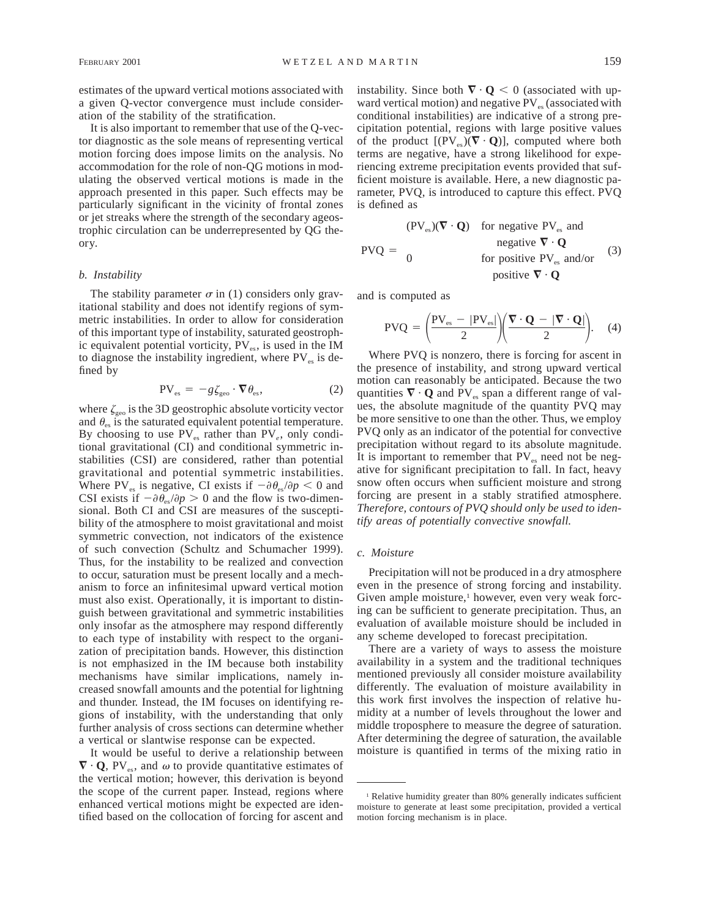estimates of the upward vertical motions associated with a given Q-vector convergence must include consideration of the stability of the stratification.

It is also important to remember that use of the Q-vector diagnostic as the sole means of representing vertical motion forcing does impose limits on the analysis. No accommodation for the role of non-QG motions in modulating the observed vertical motions is made in the approach presented in this paper. Such effects may be particularly significant in the vicinity of frontal zones or jet streaks where the strength of the secondary ageostrophic circulation can be underrepresented by QG theory.

#### *b. Instability*

The stability parameter  $\sigma$  in (1) considers only gravitational stability and does not identify regions of symmetric instabilities. In order to allow for consideration of this important type of instability, saturated geostrophic equivalent potential vorticity,  $PV_{es}$ , is used in the IM to diagnose the instability ingredient, where  $PV_{es}$  is defined by

$$
PV_{\rm es} = -g\zeta_{\rm geo} \cdot \nabla \theta_{\rm es},\tag{2}
$$

where  $\zeta_{\text{geo}}$  is the 3D geostrophic absolute vorticity vector and  $\theta_{\rm es}$  is the saturated equivalent potential temperature. By choosing to use PV<sub>es</sub> rather than PV<sub>e</sub>, only conditional gravitational (CI) and conditional symmetric instabilities (CSI) are considered, rather than potential gravitational and potential symmetric instabilities. Where PV<sub>es</sub> is negative, CI exists if  $-\partial \theta_{\rm ss}/\partial p < 0$  and CSI exists if  $-\partial \theta_{\rm ss}/\partial p > 0$  and the flow is two-dimensional. Both CI and CSI are measures of the susceptibility of the atmosphere to moist gravitational and moist symmetric convection, not indicators of the existence of such convection (Schultz and Schumacher 1999). Thus, for the instability to be realized and convection to occur, saturation must be present locally and a mechanism to force an infinitesimal upward vertical motion must also exist. Operationally, it is important to distinguish between gravitational and symmetric instabilities only insofar as the atmosphere may respond differently to each type of instability with respect to the organization of precipitation bands. However, this distinction is not emphasized in the IM because both instability mechanisms have similar implications, namely increased snowfall amounts and the potential for lightning and thunder. Instead, the IM focuses on identifying regions of instability, with the understanding that only further analysis of cross sections can determine whether a vertical or slantwise response can be expected.

It would be useful to derive a relationship between  $\nabla \cdot \mathbf{Q}$ , PV<sub>es</sub>, and  $\omega$  to provide quantitative estimates of the vertical motion; however, this derivation is beyond the scope of the current paper. Instead, regions where enhanced vertical motions might be expected are identified based on the collocation of forcing for ascent and instability. Since both  $\nabla \cdot \mathbf{Q} < 0$  (associated with upward vertical motion) and negative  $PV_{es}$  (associated with conditional instabilities) are indicative of a strong precipitation potential, regions with large positive values of the product  $[(PV_{es})(\nabla \cdot \mathbf{Q})]$ , computed where both terms are negative, have a strong likelihood for experiencing extreme precipitation events provided that sufficient moisture is available. Here, a new diagnostic parameter, PVQ, is introduced to capture this effect. PVQ is defined as

$$
PVQ = \begin{cases} (PV_{es})(\nabla \cdot \mathbf{Q}) & \text{for negative PV}_{es} \text{ and} \\ & \text{negative } \nabla \cdot \mathbf{Q} \\ 0 & \text{for positive PV}_{es} \text{ and/or} \end{cases}
$$
(3)

and is computed as

$$
PVQ = \left(\frac{PV_{\rm es} - |PV_{\rm es}|}{2}\right) \left(\frac{\nabla \cdot \mathbf{Q} - |\nabla \cdot \mathbf{Q}|}{2}\right).
$$
 (4)

Where PVQ is nonzero, there is forcing for ascent in the presence of instability, and strong upward vertical motion can reasonably be anticipated. Because the two quantities  $\nabla \cdot \mathbf{Q}$  and PV<sub>es</sub> span a different range of values, the absolute magnitude of the quantity PVQ may be more sensitive to one than the other. Thus, we employ PVQ only as an indicator of the potential for convective precipitation without regard to its absolute magnitude. It is important to remember that  $PV_{es}$  need not be negative for significant precipitation to fall. In fact, heavy snow often occurs when sufficient moisture and strong forcing are present in a stably stratified atmosphere. *Therefore, contours of PVQ should only be used to identify areas of potentially convective snowfall.*

### *c. Moisture*

Precipitation will not be produced in a dry atmosphere even in the presence of strong forcing and instability. Given ample moisture,<sup>1</sup> however, even very weak forcing can be sufficient to generate precipitation. Thus, an evaluation of available moisture should be included in any scheme developed to forecast precipitation.

There are a variety of ways to assess the moisture availability in a system and the traditional techniques mentioned previously all consider moisture availability differently. The evaluation of moisture availability in this work first involves the inspection of relative humidity at a number of levels throughout the lower and middle troposphere to measure the degree of saturation. After determining the degree of saturation, the available moisture is quantified in terms of the mixing ratio in

<sup>1</sup> Relative humidity greater than 80% generally indicates sufficient moisture to generate at least some precipitation, provided a vertical motion forcing mechanism is in place.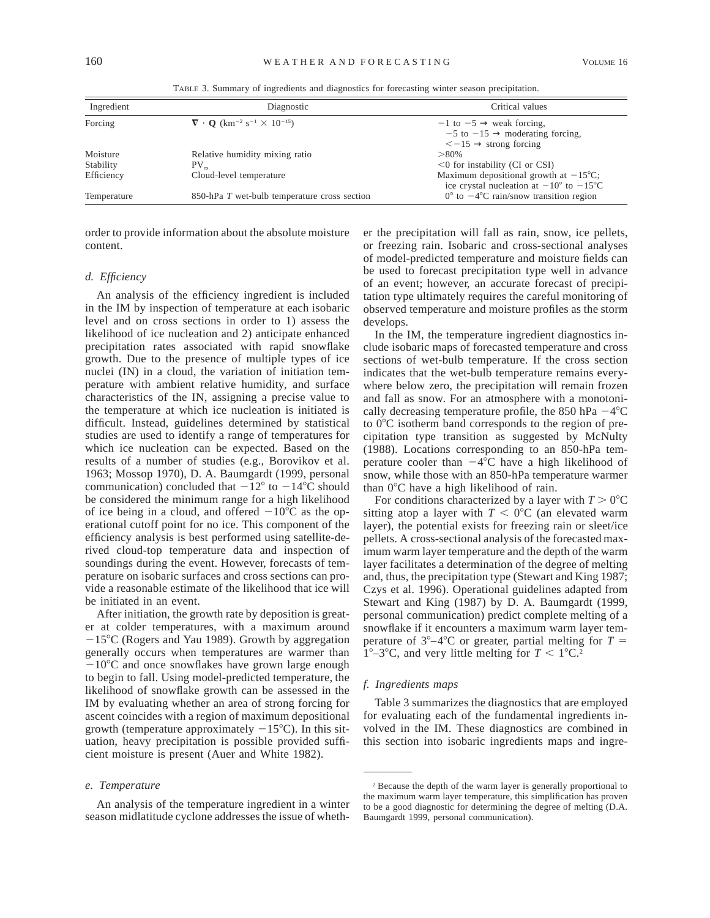| Ingredient                | Diagnostic                                                                               | Critical values                                                                                                                                                            |
|---------------------------|------------------------------------------------------------------------------------------|----------------------------------------------------------------------------------------------------------------------------------------------------------------------------|
| Forcing                   | $\nabla \cdot \mathbf{O}$ (km <sup>-2</sup> s <sup>-1</sup> $\times$ 10 <sup>-15</sup> ) | $-1$ to $-5 \rightarrow$ weak forcing,<br>$-5$ to $-15 \rightarrow$ moderating forcing,<br>$\langle -15 \rightarrow$ strong forcing                                        |
| Moisture<br>Stability     | Relative humidity mixing ratio<br>$PV_{es}$                                              | $> 80\%$<br>$\leq 0$ for instability (CI or CSI)                                                                                                                           |
| Efficiency<br>Temperature | Cloud-level temperature<br>850-hPa T wet-bulb temperature cross section                  | Maximum depositional growth at $-15^{\circ}$ C;<br>ice crystal nucleation at $-10^{\circ}$ to $-15^{\circ}$ C<br>$0^{\circ}$ to $-4^{\circ}$ C rain/snow transition region |

TABLE 3. Summary of ingredients and diagnostics for forecasting winter season precipitation.

order to provide information about the absolute moisture content.

#### *d. Efficiency*

An analysis of the efficiency ingredient is included in the IM by inspection of temperature at each isobaric level and on cross sections in order to 1) assess the likelihood of ice nucleation and 2) anticipate enhanced precipitation rates associated with rapid snowflake growth. Due to the presence of multiple types of ice nuclei (IN) in a cloud, the variation of initiation temperature with ambient relative humidity, and surface characteristics of the IN, assigning a precise value to the temperature at which ice nucleation is initiated is difficult. Instead, guidelines determined by statistical studies are used to identify a range of temperatures for which ice nucleation can be expected. Based on the results of a number of studies (e.g., Borovikov et al. 1963; Mossop 1970), D. A. Baumgardt (1999, personal communication) concluded that  $-12^{\circ}$  to  $-14^{\circ}$ C should be considered the minimum range for a high likelihood of ice being in a cloud, and offered  $-10^{\circ}$ C as the operational cutoff point for no ice. This component of the efficiency analysis is best performed using satellite-derived cloud-top temperature data and inspection of soundings during the event. However, forecasts of temperature on isobaric surfaces and cross sections can provide a reasonable estimate of the likelihood that ice will be initiated in an event.

After initiation, the growth rate by deposition is greater at colder temperatures, with a maximum around  $-15^{\circ}$ C (Rogers and Yau 1989). Growth by aggregation generally occurs when temperatures are warmer than  $-10^{\circ}$ C and once snowflakes have grown large enough to begin to fall. Using model-predicted temperature, the likelihood of snowflake growth can be assessed in the IM by evaluating whether an area of strong forcing for ascent coincides with a region of maximum depositional growth (temperature approximately  $-15^{\circ}$ C). In this situation, heavy precipitation is possible provided sufficient moisture is present (Auer and White 1982).

#### *e. Temperature*

An analysis of the temperature ingredient in a winter season midlatitude cyclone addresses the issue of whether the precipitation will fall as rain, snow, ice pellets, or freezing rain. Isobaric and cross-sectional analyses of model-predicted temperature and moisture fields can be used to forecast precipitation type well in advance of an event; however, an accurate forecast of precipitation type ultimately requires the careful monitoring of observed temperature and moisture profiles as the storm develops.

In the IM, the temperature ingredient diagnostics include isobaric maps of forecasted temperature and cross sections of wet-bulb temperature. If the cross section indicates that the wet-bulb temperature remains everywhere below zero, the precipitation will remain frozen and fall as snow. For an atmosphere with a monotonically decreasing temperature profile, the 850 hPa  $-4^{\circ}$ C to  $0^{\circ}$ C isotherm band corresponds to the region of precipitation type transition as suggested by McNulty (1988). Locations corresponding to an 850-hPa temperature cooler than  $-4^{\circ}$ C have a high likelihood of snow, while those with an 850-hPa temperature warmer than  $0^{\circ}$ C have a high likelihood of rain.

For conditions characterized by a layer with  $T > 0^{\circ}C$ sitting atop a layer with  $T < 0^{\circ}$ C (an elevated warm layer), the potential exists for freezing rain or sleet/ice pellets. A cross-sectional analysis of the forecasted maximum warm layer temperature and the depth of the warm layer facilitates a determination of the degree of melting and, thus, the precipitation type (Stewart and King 1987; Czys et al. 1996). Operational guidelines adapted from Stewart and King (1987) by D. A. Baumgardt (1999, personal communication) predict complete melting of a snowflake if it encounters a maximum warm layer temperature of  $3^{\circ}-4^{\circ}$ C or greater, partial melting for  $T =$  $1^{\circ}-3^{\circ}$ C, and very little melting for  $T < 1^{\circ}$ C.<sup>2</sup>

#### *f. Ingredients maps*

Table 3 summarizes the diagnostics that are employed for evaluating each of the fundamental ingredients involved in the IM. These diagnostics are combined in this section into isobaric ingredients maps and ingre-

<sup>2</sup> Because the depth of the warm layer is generally proportional to the maximum warm layer temperature, this simplification has proven to be a good diagnostic for determining the degree of melting (D.A. Baumgardt 1999, personal communication).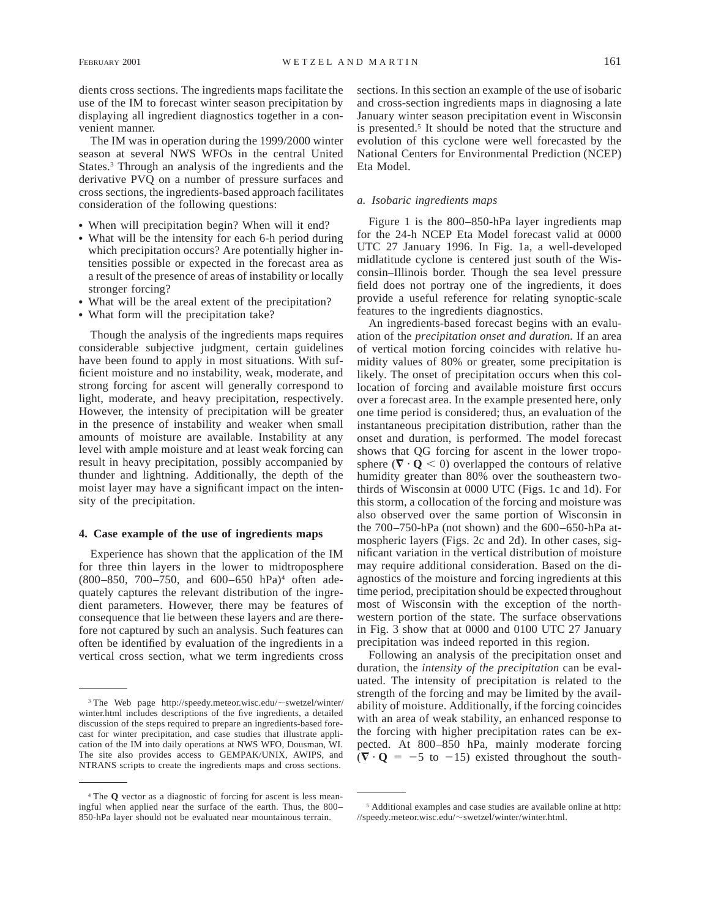dients cross sections. The ingredients maps facilitate the use of the IM to forecast winter season precipitation by displaying all ingredient diagnostics together in a convenient manner.

The IM was in operation during the 1999/2000 winter season at several NWS WFOs in the central United States.3 Through an analysis of the ingredients and the derivative PVQ on a number of pressure surfaces and cross sections, the ingredients-based approach facilitates consideration of the following questions:

- When will precipitation begin? When will it end?
- What will be the intensity for each 6-h period during which precipitation occurs? Are potentially higher intensities possible or expected in the forecast area as a result of the presence of areas of instability or locally stronger forcing?
- What will be the areal extent of the precipitation?
- What form will the precipitation take?

Though the analysis of the ingredients maps requires considerable subjective judgment, certain guidelines have been found to apply in most situations. With sufficient moisture and no instability, weak, moderate, and strong forcing for ascent will generally correspond to light, moderate, and heavy precipitation, respectively. However, the intensity of precipitation will be greater in the presence of instability and weaker when small amounts of moisture are available. Instability at any level with ample moisture and at least weak forcing can result in heavy precipitation, possibly accompanied by thunder and lightning. Additionally, the depth of the moist layer may have a significant impact on the intensity of the precipitation.

#### **4. Case example of the use of ingredients maps**

Experience has shown that the application of the IM for three thin layers in the lower to midtroposphere (800–850, 700–750, and 600–650 hPa)4 often adequately captures the relevant distribution of the ingredient parameters. However, there may be features of consequence that lie between these layers and are therefore not captured by such an analysis. Such features can often be identified by evaluation of the ingredients in a vertical cross section, what we term ingredients cross sections. In this section an example of the use of isobaric and cross-section ingredients maps in diagnosing a late January winter season precipitation event in Wisconsin is presented.<sup>5</sup> It should be noted that the structure and evolution of this cyclone were well forecasted by the National Centers for Environmental Prediction (NCEP) Eta Model.

#### *a. Isobaric ingredients maps*

Figure 1 is the 800–850-hPa layer ingredients map for the 24-h NCEP Eta Model forecast valid at 0000 UTC 27 January 1996. In Fig. 1a, a well-developed midlatitude cyclone is centered just south of the Wisconsin–Illinois border. Though the sea level pressure field does not portray one of the ingredients, it does provide a useful reference for relating synoptic-scale features to the ingredients diagnostics.

An ingredients-based forecast begins with an evaluation of the *precipitation onset and duration.* If an area of vertical motion forcing coincides with relative humidity values of 80% or greater, some precipitation is likely. The onset of precipitation occurs when this collocation of forcing and available moisture first occurs over a forecast area. In the example presented here, only one time period is considered; thus, an evaluation of the instantaneous precipitation distribution, rather than the onset and duration, is performed. The model forecast shows that QG forcing for ascent in the lower troposphere ( $\nabla \cdot \mathbf{Q} \leq 0$ ) overlapped the contours of relative humidity greater than 80% over the southeastern twothirds of Wisconsin at 0000 UTC (Figs. 1c and 1d). For this storm, a collocation of the forcing and moisture was also observed over the same portion of Wisconsin in the 700–750-hPa (not shown) and the 600–650-hPa atmospheric layers (Figs. 2c and 2d). In other cases, significant variation in the vertical distribution of moisture may require additional consideration. Based on the diagnostics of the moisture and forcing ingredients at this time period, precipitation should be expected throughout most of Wisconsin with the exception of the northwestern portion of the state. The surface observations in Fig. 3 show that at 0000 and 0100 UTC 27 January precipitation was indeed reported in this region.

Following an analysis of the precipitation onset and duration, the *intensity of the precipitation* can be evaluated. The intensity of precipitation is related to the strength of the forcing and may be limited by the availability of moisture. Additionally, if the forcing coincides with an area of weak stability, an enhanced response to the forcing with higher precipitation rates can be expected. At 800–850 hPa, mainly moderate forcing  $(\nabla \cdot \mathbf{Q} = -5 \text{ to } -15)$  existed throughout the south-

<sup>&</sup>lt;sup>3</sup> The Web page http://speedy.meteor.wisc.edu/~swetzel/winter/ winter.html includes descriptions of the five ingredients, a detailed discussion of the steps required to prepare an ingredients-based forecast for winter precipitation, and case studies that illustrate application of the IM into daily operations at NWS WFO, Dousman, WI. The site also provides access to GEMPAK/UNIX, AWIPS, and NTRANS scripts to create the ingredients maps and cross sections.

<sup>4</sup> The **Q** vector as a diagnostic of forcing for ascent is less meaningful when applied near the surface of the earth. Thus, the 800– 850-hPa layer should not be evaluated near mountainous terrain.

<sup>5</sup> Additional examples and case studies are available online at http: //speedy.meteor.wisc.edu/~swetzel/winter/winter.html.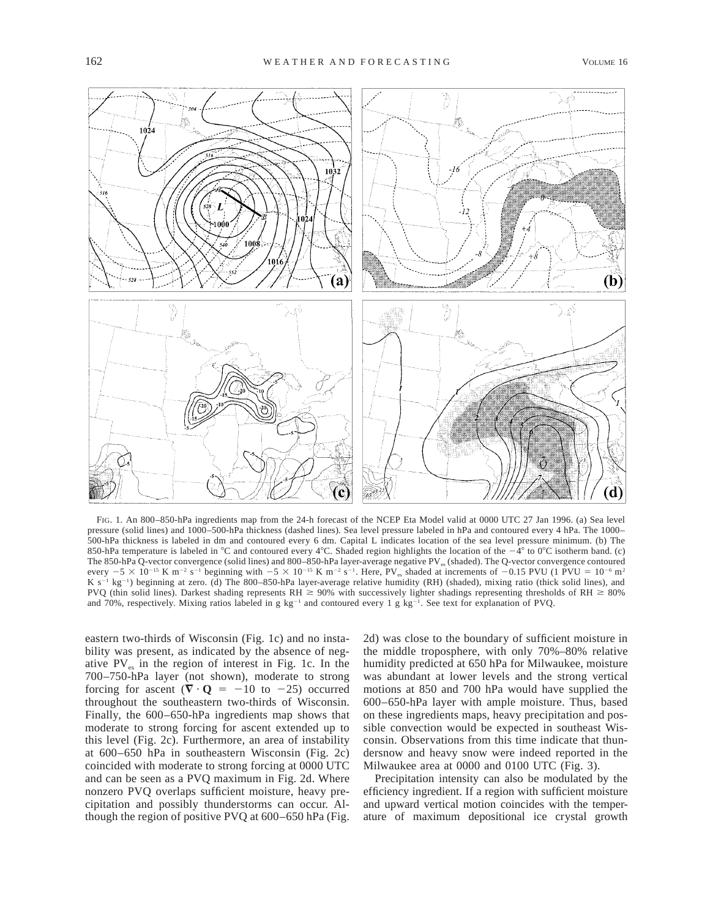

FIG. 1. An 800–850-hPa ingredients map from the 24-h forecast of the NCEP Eta Model valid at 0000 UTC 27 Jan 1996. (a) Sea level pressure (solid lines) and 1000–500-hPa thickness (dashed lines). Sea level pressure labeled in hPa and contoured every 4 hPa. The 1000– 500-hPa thickness is labeled in dm and contoured every 6 dm. Capital L indicates location of the sea level pressure minimum. (b) The 850-hPa temperature is labeled in  $^{\circ}C$  and contoured every 4 $^{\circ}C$ . Shaded region highlights the location of the  $-4^{\circ}$  to 0 $^{\circ}C$  isotherm band. (c) The 850-hPa Q-vector convergence (solid lines) and 800–850-hPa layer-average negative PV<sub>es</sub> (shaded). The Q-vector convergence contoured every  $-5 \times 10^{-15}$  K m<sup>-2</sup> s<sup>-1</sup> beginning with  $-5 \times 10^{-15}$  K m<sup>-2</sup> s<sup>-1</sup>. Here, PV<sub>es</sub> shaded at increments of -0.15 PVU (1 PVU = 10<sup>-6</sup> m<sup>2</sup> K  $s^{-1}$  kg<sup>-1</sup>) beginning at zero. (d) The 800–850-hPa layer-average relative humidity (RH) (shaded), mixing ratio (thick solid lines), and PVQ (thin solid lines). Darkest shading represents RH  $\geq$  90% with successively lighter shadings representing thresholds of RH  $\geq$  80% and 70%, respectively. Mixing ratios labeled in g kg<sup>-1</sup> and contoured every 1 g kg<sup>-1</sup>. See text for explanation of PVQ.

eastern two-thirds of Wisconsin (Fig. 1c) and no instability was present, as indicated by the absence of negative  $PV_{es}$  in the region of interest in Fig. 1c. In the 700–750-hPa layer (not shown), moderate to strong forcing for ascent  $(\nabla \cdot \mathbf{Q} = -10 \text{ to } -25)$  occurred throughout the southeastern two-thirds of Wisconsin. Finally, the 600–650-hPa ingredients map shows that moderate to strong forcing for ascent extended up to this level (Fig. 2c). Furthermore, an area of instability at 600–650 hPa in southeastern Wisconsin (Fig. 2c) coincided with moderate to strong forcing at 0000 UTC and can be seen as a PVQ maximum in Fig. 2d. Where nonzero PVQ overlaps sufficient moisture, heavy precipitation and possibly thunderstorms can occur. Although the region of positive PVQ at 600–650 hPa (Fig. 2d) was close to the boundary of sufficient moisture in the middle troposphere, with only 70%–80% relative humidity predicted at 650 hPa for Milwaukee, moisture was abundant at lower levels and the strong vertical motions at 850 and 700 hPa would have supplied the 600–650-hPa layer with ample moisture. Thus, based on these ingredients maps, heavy precipitation and possible convection would be expected in southeast Wisconsin. Observations from this time indicate that thundersnow and heavy snow were indeed reported in the Milwaukee area at 0000 and 0100 UTC (Fig. 3).

Precipitation intensity can also be modulated by the efficiency ingredient. If a region with sufficient moisture and upward vertical motion coincides with the temperature of maximum depositional ice crystal growth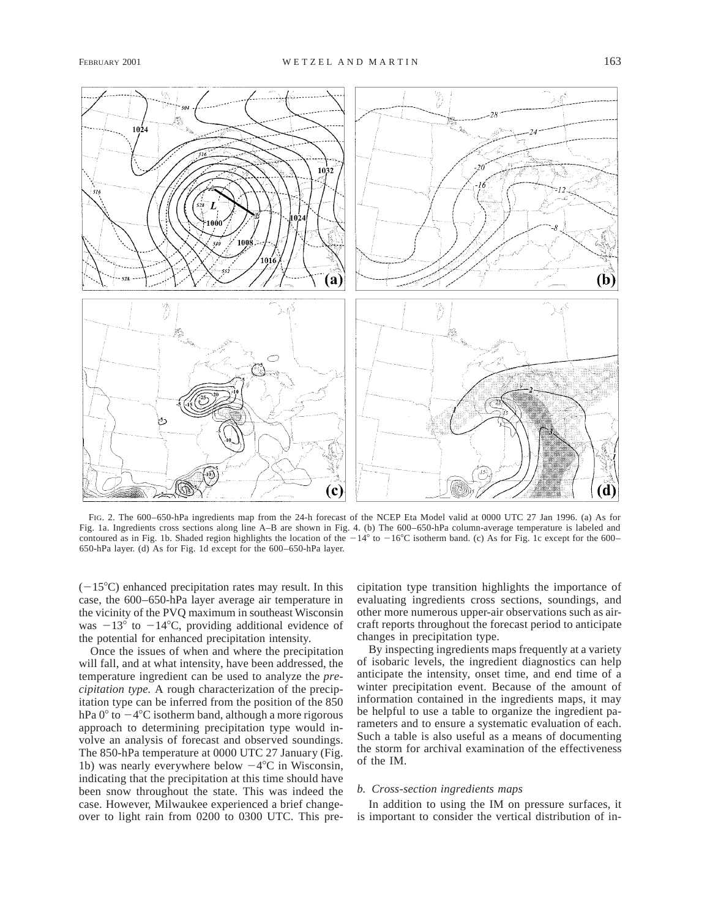

FIG. 2. The 600–650-hPa ingredients map from the 24-h forecast of the NCEP Eta Model valid at 0000 UTC 27 Jan 1996. (a) As for Fig. 1a. Ingredients cross sections along line A–B are shown in Fig. 4. (b) The 600–650-hPa column-average temperature is labeled and contoured as in Fig. 1b. Shaded region highlights the location of the  $-14^{\circ}$  to  $-16^{\circ}$ C isotherm band. (c) As for Fig. 1c except for the 600– 650-hPa layer. (d) As for Fig. 1d except for the 600–650-hPa layer.

 $(-15^{\circ}C)$  enhanced precipitation rates may result. In this case, the 600–650-hPa layer average air temperature in the vicinity of the PVQ maximum in southeast Wisconsin was  $-13^{\circ}$  to  $-14^{\circ}$ C, providing additional evidence of the potential for enhanced precipitation intensity.

Once the issues of when and where the precipitation will fall, and at what intensity, have been addressed, the temperature ingredient can be used to analyze the *precipitation type.* A rough characterization of the precipitation type can be inferred from the position of the 850 hPa  $0^{\circ}$  to  $-4^{\circ}$ C isotherm band, although a more rigorous approach to determining precipitation type would involve an analysis of forecast and observed soundings. The 850-hPa temperature at 0000 UTC 27 January (Fig. 1b) was nearly everywhere below  $-4^{\circ}$ C in Wisconsin, indicating that the precipitation at this time should have been snow throughout the state. This was indeed the case. However, Milwaukee experienced a brief changeover to light rain from 0200 to 0300 UTC. This precipitation type transition highlights the importance of evaluating ingredients cross sections, soundings, and other more numerous upper-air observations such as aircraft reports throughout the forecast period to anticipate changes in precipitation type.

By inspecting ingredients maps frequently at a variety of isobaric levels, the ingredient diagnostics can help anticipate the intensity, onset time, and end time of a winter precipitation event. Because of the amount of information contained in the ingredients maps, it may be helpful to use a table to organize the ingredient parameters and to ensure a systematic evaluation of each. Such a table is also useful as a means of documenting the storm for archival examination of the effectiveness of the IM.

#### *b. Cross-section ingredients maps*

In addition to using the IM on pressure surfaces, it is important to consider the vertical distribution of in-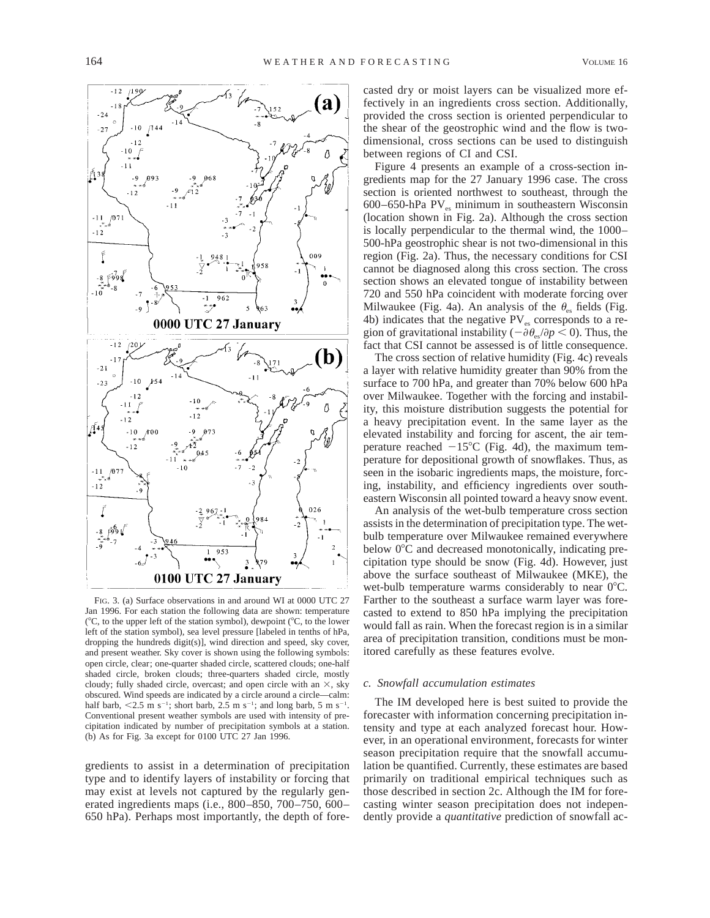

FIG. 3. (a) Surface observations in and around WI at 0000 UTC 27 Jan 1996. For each station the following data are shown: temperature  $({}^{\circ}C,$  to the upper left of the station symbol), dewpoint  $({}^{\circ}C,$  to the lower left of the station symbol), sea level pressure [labeled in tenths of hPa, dropping the hundreds digit(s)], wind direction and speed, sky cover, and present weather. Sky cover is shown using the following symbols: open circle, clear; one-quarter shaded circle, scattered clouds; one-half shaded circle, broken clouds; three-quarters shaded circle, mostly cloudy; fully shaded circle, overcast; and open circle with an  $\times$ , sky obscured. Wind speeds are indicated by a circle around a circle—calm: half barb,  $\leq$ 2.5 m s<sup>-1</sup>; short barb, 2.5 m s<sup>-1</sup>; and long barb, 5 m s<sup>-1</sup>. Conventional present weather symbols are used with intensity of precipitation indicated by number of precipitation symbols at a station. (b) As for Fig. 3a except for 0100 UTC 27 Jan 1996.

gredients to assist in a determination of precipitation type and to identify layers of instability or forcing that may exist at levels not captured by the regularly generated ingredients maps (i.e., 800–850, 700–750, 600– 650 hPa). Perhaps most importantly, the depth of forecasted dry or moist layers can be visualized more effectively in an ingredients cross section. Additionally, provided the cross section is oriented perpendicular to the shear of the geostrophic wind and the flow is twodimensional, cross sections can be used to distinguish between regions of CI and CSI.

Figure 4 presents an example of a cross-section ingredients map for the 27 January 1996 case. The cross section is oriented northwest to southeast, through the  $600-650$ -hPa PV<sub>es</sub> minimum in southeastern Wisconsin (location shown in Fig. 2a). Although the cross section is locally perpendicular to the thermal wind, the 1000– 500-hPa geostrophic shear is not two-dimensional in this region (Fig. 2a). Thus, the necessary conditions for CSI cannot be diagnosed along this cross section. The cross section shows an elevated tongue of instability between 720 and 550 hPa coincident with moderate forcing over Milwaukee (Fig. 4a). An analysis of the  $\theta_{\rm es}$  fields (Fig. 4b) indicates that the negative  $PV_{es}$  corresponds to a region of gravitational instability ( $-\partial \theta_{\rm ss}/\partial p < 0$ ). Thus, the fact that CSI cannot be assessed is of little consequence.

The cross section of relative humidity (Fig. 4c) reveals a layer with relative humidity greater than 90% from the surface to 700 hPa, and greater than 70% below 600 hPa over Milwaukee. Together with the forcing and instability, this moisture distribution suggests the potential for a heavy precipitation event. In the same layer as the elevated instability and forcing for ascent, the air temperature reached  $-15^{\circ}$ C (Fig. 4d), the maximum temperature for depositional growth of snowflakes. Thus, as seen in the isobaric ingredients maps, the moisture, forcing, instability, and efficiency ingredients over southeastern Wisconsin all pointed toward a heavy snow event.

An analysis of the wet-bulb temperature cross section assists in the determination of precipitation type. The wetbulb temperature over Milwaukee remained everywhere below  $0^{\circ}$ C and decreased monotonically, indicating precipitation type should be snow (Fig. 4d). However, just above the surface southeast of Milwaukee (MKE), the wet-bulb temperature warms considerably to near  $0^{\circ}$ C. Farther to the southeast a surface warm layer was forecasted to extend to 850 hPa implying the precipitation would fall as rain. When the forecast region is in a similar area of precipitation transition, conditions must be monitored carefully as these features evolve.

### *c. Snowfall accumulation estimates*

The IM developed here is best suited to provide the forecaster with information concerning precipitation intensity and type at each analyzed forecast hour. However, in an operational environment, forecasts for winter season precipitation require that the snowfall accumulation be quantified. Currently, these estimates are based primarily on traditional empirical techniques such as those described in section 2c. Although the IM for forecasting winter season precipitation does not independently provide a *quantitative* prediction of snowfall ac-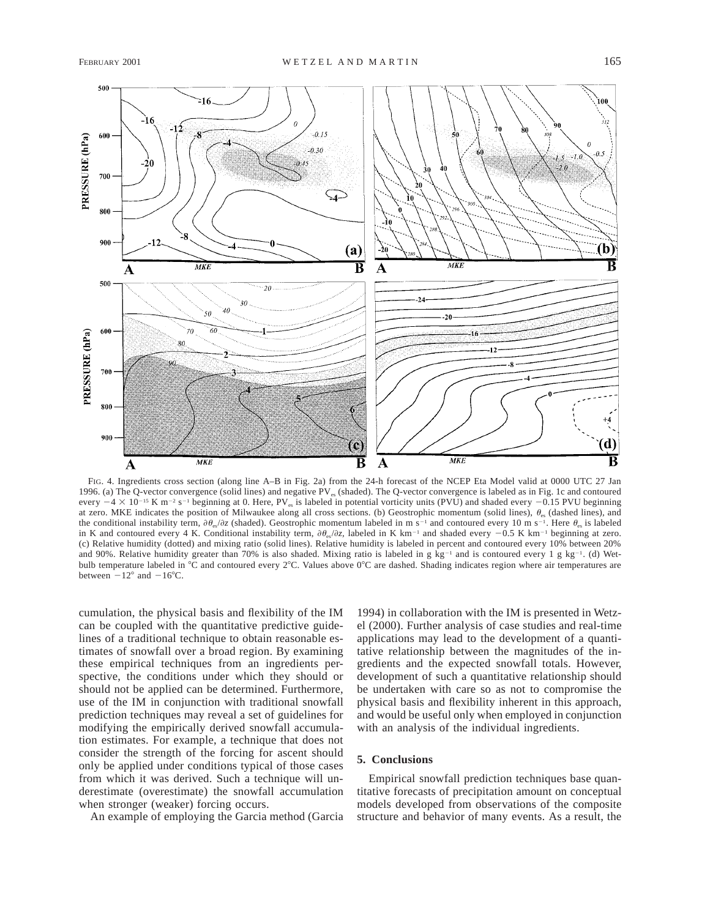

FIG. 4. Ingredients cross section (along line A–B in Fig. 2a) from the 24-h forecast of the NCEP Eta Model valid at 0000 UTC 27 Jan 1996. (a) The Q-vector convergence (solid lines) and negative  $PV_{es}$  (shaded). The Q-vector convergence is labeled as in Fig. 1c and contoured every  $-4 \times 10^{-15}$  K m<sup>-2</sup> s<sup>-1</sup> beginning at 0. Here, PV<sub>es</sub> is labeled in potential vorticity units (PVU) and shaded every -0.15 PVU beginning at zero. MKE indicates the position of Milwaukee along all cross sections. (b) Geostrophic momentum (solid lines),  $\theta_{\rm es}$  (dashed lines), and the conditional instability term,  $\partial \theta_{\alpha}/\partial z$  (shaded). Geostrophic momentum labeled in m s<sup>-1</sup> and contoured every 10 m s<sup>-1</sup>. Here  $\theta_{\alpha}$  is labeled in K and contoured every 4 K. Conditional instability term,  $\partial \theta_{\rm ex}/\partial z$ , labeled in K km<sup>-1</sup> and shaded every  $-0.5$  K km<sup>-1</sup> beginning at zero. (c) Relative humidity (dotted) and mixing ratio (solid lines). Relative humidity is labeled in percent and contoured every 10% between 20% and 90%. Relative humidity greater than 70% is also shaded. Mixing ratio is labeled in g kg<sup>-1</sup> and is contoured every 1 g kg<sup>-1</sup>. (d) Wetbulb temperature labeled in  $\degree$ C and contoured every  $2\degree$ C. Values above  $0\degree$ C are dashed. Shading indicates region where air temperatures are between  $-12^{\circ}$  and  $-16^{\circ}$ C.

cumulation, the physical basis and flexibility of the IM can be coupled with the quantitative predictive guidelines of a traditional technique to obtain reasonable estimates of snowfall over a broad region. By examining these empirical techniques from an ingredients perspective, the conditions under which they should or should not be applied can be determined. Furthermore, use of the IM in conjunction with traditional snowfall prediction techniques may reveal a set of guidelines for modifying the empirically derived snowfall accumulation estimates. For example, a technique that does not consider the strength of the forcing for ascent should only be applied under conditions typical of those cases from which it was derived. Such a technique will underestimate (overestimate) the snowfall accumulation when stronger (weaker) forcing occurs.

An example of employing the Garcia method (Garcia

1994) in collaboration with the IM is presented in Wetzel (2000). Further analysis of case studies and real-time applications may lead to the development of a quantitative relationship between the magnitudes of the ingredients and the expected snowfall totals. However, development of such a quantitative relationship should be undertaken with care so as not to compromise the physical basis and flexibility inherent in this approach, and would be useful only when employed in conjunction with an analysis of the individual ingredients.

## **5. Conclusions**

Empirical snowfall prediction techniques base quantitative forecasts of precipitation amount on conceptual models developed from observations of the composite structure and behavior of many events. As a result, the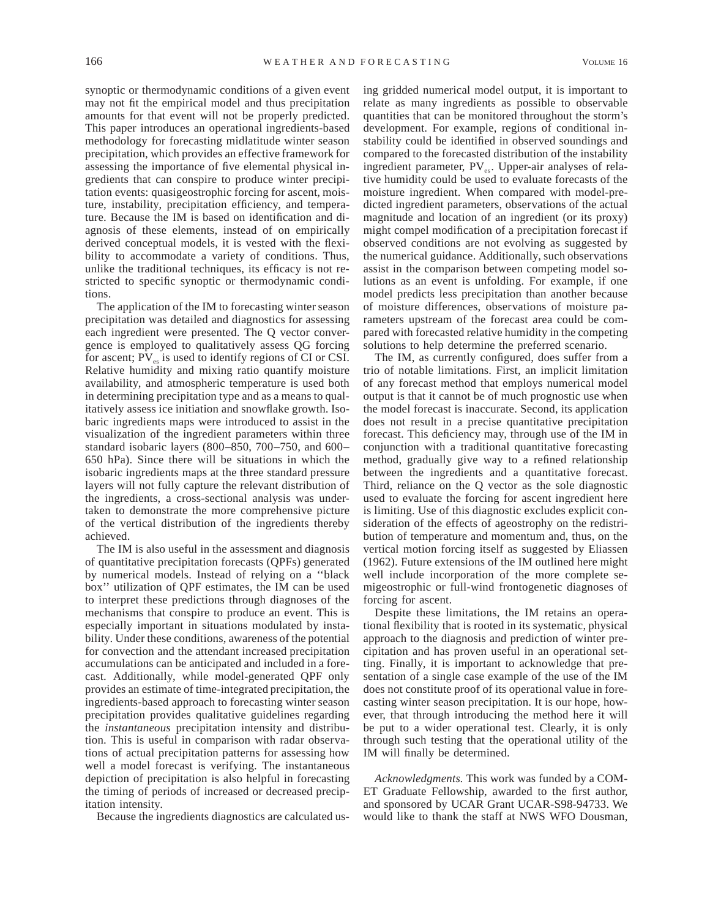synoptic or thermodynamic conditions of a given event may not fit the empirical model and thus precipitation amounts for that event will not be properly predicted. This paper introduces an operational ingredients-based methodology for forecasting midlatitude winter season precipitation, which provides an effective framework for assessing the importance of five elemental physical ingredients that can conspire to produce winter precipitation events: quasigeostrophic forcing for ascent, moisture, instability, precipitation efficiency, and temperature. Because the IM is based on identification and diagnosis of these elements, instead of on empirically derived conceptual models, it is vested with the flexibility to accommodate a variety of conditions. Thus, unlike the traditional techniques, its efficacy is not restricted to specific synoptic or thermodynamic conditions.

The application of the IM to forecasting winter season precipitation was detailed and diagnostics for assessing each ingredient were presented. The Q vector convergence is employed to qualitatively assess QG forcing for ascent;  $PV_{es}$  is used to identify regions of CI or CSI. Relative humidity and mixing ratio quantify moisture availability, and atmospheric temperature is used both in determining precipitation type and as a means to qualitatively assess ice initiation and snowflake growth. Isobaric ingredients maps were introduced to assist in the visualization of the ingredient parameters within three standard isobaric layers (800–850, 700–750, and 600– 650 hPa). Since there will be situations in which the isobaric ingredients maps at the three standard pressure layers will not fully capture the relevant distribution of the ingredients, a cross-sectional analysis was undertaken to demonstrate the more comprehensive picture of the vertical distribution of the ingredients thereby achieved.

The IM is also useful in the assessment and diagnosis of quantitative precipitation forecasts (QPFs) generated by numerical models. Instead of relying on a ''black box'' utilization of QPF estimates, the IM can be used to interpret these predictions through diagnoses of the mechanisms that conspire to produce an event. This is especially important in situations modulated by instability. Under these conditions, awareness of the potential for convection and the attendant increased precipitation accumulations can be anticipated and included in a forecast. Additionally, while model-generated QPF only provides an estimate of time-integrated precipitation, the ingredients-based approach to forecasting winter season precipitation provides qualitative guidelines regarding the *instantaneous* precipitation intensity and distribution. This is useful in comparison with radar observations of actual precipitation patterns for assessing how well a model forecast is verifying. The instantaneous depiction of precipitation is also helpful in forecasting the timing of periods of increased or decreased precipitation intensity.

Because the ingredients diagnostics are calculated us-

ing gridded numerical model output, it is important to relate as many ingredients as possible to observable quantities that can be monitored throughout the storm's development. For example, regions of conditional instability could be identified in observed soundings and compared to the forecasted distribution of the instability ingredient parameter, PV<sub>es</sub>. Upper-air analyses of relative humidity could be used to evaluate forecasts of the moisture ingredient. When compared with model-predicted ingredient parameters, observations of the actual magnitude and location of an ingredient (or its proxy) might compel modification of a precipitation forecast if observed conditions are not evolving as suggested by the numerical guidance. Additionally, such observations assist in the comparison between competing model solutions as an event is unfolding. For example, if one model predicts less precipitation than another because of moisture differences, observations of moisture parameters upstream of the forecast area could be compared with forecasted relative humidity in the competing solutions to help determine the preferred scenario.

The IM, as currently configured, does suffer from a trio of notable limitations. First, an implicit limitation of any forecast method that employs numerical model output is that it cannot be of much prognostic use when the model forecast is inaccurate. Second, its application does not result in a precise quantitative precipitation forecast. This deficiency may, through use of the IM in conjunction with a traditional quantitative forecasting method, gradually give way to a refined relationship between the ingredients and a quantitative forecast. Third, reliance on the Q vector as the sole diagnostic used to evaluate the forcing for ascent ingredient here is limiting. Use of this diagnostic excludes explicit consideration of the effects of ageostrophy on the redistribution of temperature and momentum and, thus, on the vertical motion forcing itself as suggested by Eliassen (1962). Future extensions of the IM outlined here might well include incorporation of the more complete semigeostrophic or full-wind frontogenetic diagnoses of forcing for ascent.

Despite these limitations, the IM retains an operational flexibility that is rooted in its systematic, physical approach to the diagnosis and prediction of winter precipitation and has proven useful in an operational setting. Finally, it is important to acknowledge that presentation of a single case example of the use of the IM does not constitute proof of its operational value in forecasting winter season precipitation. It is our hope, however, that through introducing the method here it will be put to a wider operational test. Clearly, it is only through such testing that the operational utility of the IM will finally be determined.

*Acknowledgments.* This work was funded by a COM-ET Graduate Fellowship, awarded to the first author, and sponsored by UCAR Grant UCAR-S98-94733. We would like to thank the staff at NWS WFO Dousman,